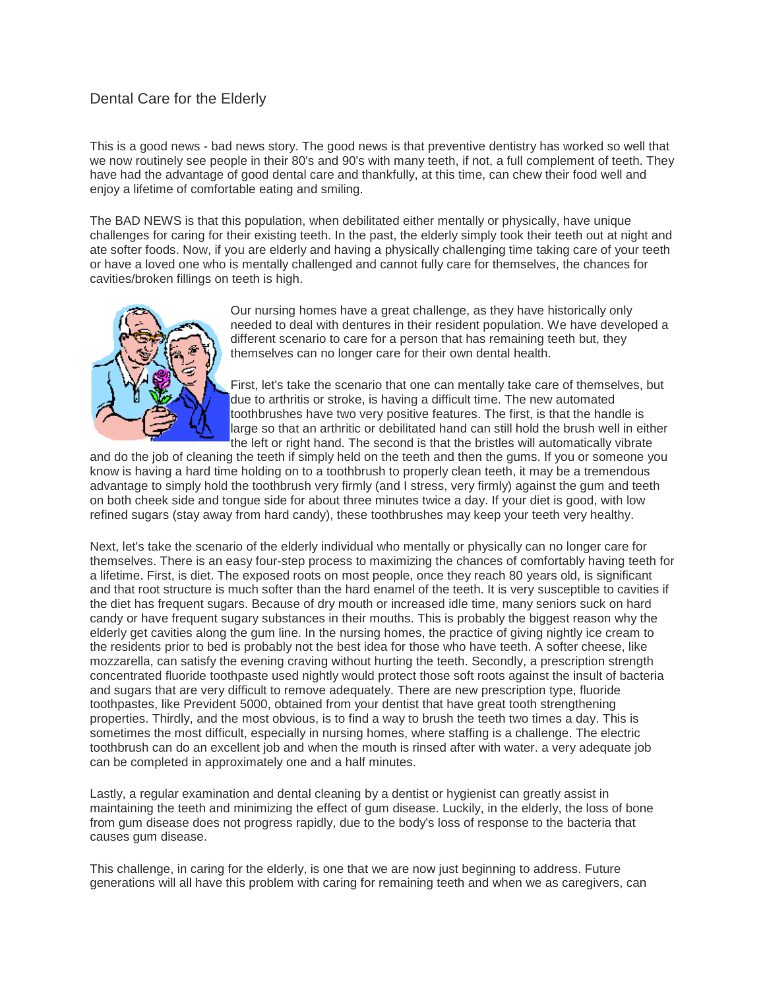## Dental Care for the Elderly

This is a good news - bad news story. The good news is that preventive dentistry has worked so well that we now routinely see people in their 80's and 90's with many teeth, if not, a full complement of teeth. They have had the advantage of good dental care and thankfully, at this time, can chew their food well and enjoy a lifetime of comfortable eating and smiling.

The BAD NEWS is that this population, when debilitated either mentally or physically, have unique challenges for caring for their existing teeth. In the past, the elderly simply took their teeth out at night and ate softer foods. Now, if you are elderly and having a physically challenging time taking care of your teeth or have a loved one who is mentally challenged and cannot fully care for themselves, the chances for cavities/broken fillings on teeth is high.



Our nursing homes have a great challenge, as they have historically only needed to deal with dentures in their resident population. We have developed a different scenario to care for a person that has remaining teeth but, they themselves can no longer care for their own dental health.

First, let's take the scenario that one can mentally take care of themselves, but due to arthritis or stroke, is having a difficult time. The new automated toothbrushes have two very positive features. The first, is that the handle is large so that an arthritic or debilitated hand can still hold the brush well in either the left or right hand. The second is that the bristles will automatically vibrate

and do the job of cleaning the teeth if simply held on the teeth and then the gums. If you or someone you know is having a hard time holding on to a toothbrush to properly clean teeth, it may be a tremendous advantage to simply hold the toothbrush very firmly (and I stress, very firmly) against the gum and teeth on both cheek side and tongue side for about three minutes twice a day. If your diet is good, with low refined sugars (stay away from hard candy), these toothbrushes may keep your teeth very healthy.

Next, let's take the scenario of the elderly individual who mentally or physically can no longer care for themselves. There is an easy four-step process to maximizing the chances of comfortably having teeth for a lifetime. First, is diet. The exposed roots on most people, once they reach 80 years old, is significant and that root structure is much softer than the hard enamel of the teeth. It is very susceptible to cavities if the diet has frequent sugars. Because of dry mouth or increased idle time, many seniors suck on hard candy or have frequent sugary substances in their mouths. This is probably the biggest reason why the elderly get cavities along the gum line. In the nursing homes, the practice of giving nightly ice cream to the residents prior to bed is probably not the best idea for those who have teeth. A softer cheese, like mozzarella, can satisfy the evening craving without hurting the teeth. Secondly, a prescription strength concentrated fluoride toothpaste used nightly would protect those soft roots against the insult of bacteria and sugars that are very difficult to remove adequately. There are new prescription type, fluoride toothpastes, like Prevident 5000, obtained from your dentist that have great tooth strengthening properties. Thirdly, and the most obvious, is to find a way to brush the teeth two times a day. This is sometimes the most difficult, especially in nursing homes, where staffing is a challenge. The electric toothbrush can do an excellent job and when the mouth is rinsed after with water. a very adequate job can be completed in approximately one and a half minutes.

Lastly, a regular examination and dental cleaning by a dentist or hygienist can greatly assist in maintaining the teeth and minimizing the effect of gum disease. Luckily, in the elderly, the loss of bone from gum disease does not progress rapidly, due to the body's loss of response to the bacteria that causes gum disease.

This challenge, in caring for the elderly, is one that we are now just beginning to address. Future generations will all have this problem with caring for remaining teeth and when we as caregivers, can